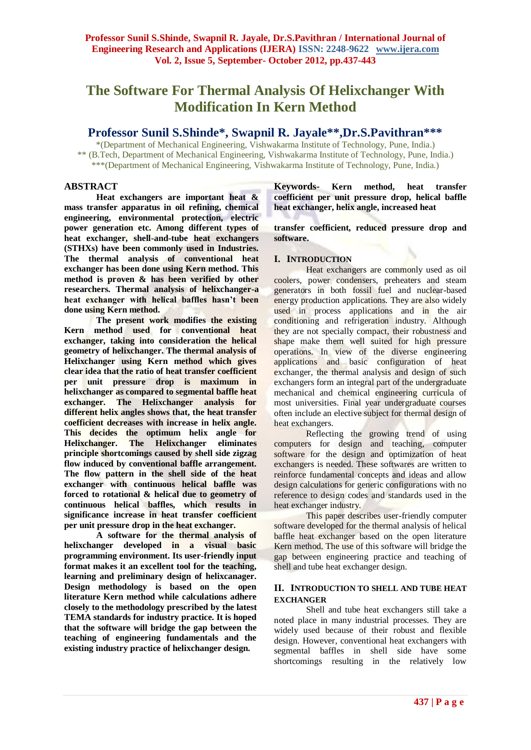# **The Software For Thermal Analysis Of Helixchanger With Modification In Kern Method**

# **Professor Sunil S.Shinde\*, Swapnil R. Jayale\*\*,Dr.S.Pavithran\*\*\***

\*(Department of Mechanical Engineering, Vishwakarma Institute of Technology, Pune, India.) \*\* (B.Tech, Department of Mechanical Engineering, Vishwakarma Institute of Technology, Pune, India.) \*\*\*(Department of Mechanical Engineering, Vishwakarma Institute of Technology, Pune, India.)

## **ABSTRACT**

**Heat exchangers are important heat & mass transfer apparatus in oil refining, chemical engineering, environmental protection, electric power generation etc. Among different types of heat exchanger, shell-and-tube heat exchangers (STHXs) have been commonly used in Industries. The thermal analysis of conventional heat exchanger has been done using Kern method. This method is proven & has been verified by other researchers. Thermal analysis of helixchanger-a heat exchanger with helical baffles hasn't been done using Kern method.**

**The present work modifies the existing Kern method used for conventional heat exchanger, taking into consideration the helical geometry of helixchanger. The thermal analysis of Helixchanger using Kern method which gives clear idea that the ratio of heat transfer coefficient per unit pressure drop is maximum in helixchanger as compared to segmental baffle heat exchanger. The Helixchanger analysis for different helix angles shows that, the heat transfer coefficient decreases with increase in helix angle. This decides the optimum helix angle for Helixchanger. The Helixchanger eliminates principle shortcomings caused by shell side zigzag flow induced by conventional baffle arrangement. The flow pattern in the shell side of the heat exchanger with continuous helical baffle was forced to rotational & helical due to geometry of continuous helical baffles, which results in significance increase in heat transfer coefficient per unit pressure drop in the heat exchanger.**

**A software for the thermal analysis of helixchanger developed in a visual basic programming environment. Its user-friendly input format makes it an excellent tool for the teaching, learning and preliminary design of helixcanager. Design methodology is based on the open literature Kern method while calculations adhere closely to the methodology prescribed by the latest TEMA standards for industry practice. It is hoped that the software will bridge the gap between the teaching of engineering fundamentals and the existing industry practice of helixchanger design.**

**Keywords- Kern method, heat transfer coefficient per unit pressure drop, helical baffle heat exchanger, helix angle, increased heat** 

**transfer coefficient, reduced pressure drop and software.**

## **I. INTRODUCTION**

Heat exchangers are commonly used as oil coolers, power condensers, preheaters and steam generators in both fossil fuel and nuclear-based energy production applications. They are also widely used in process applications and in the air conditioning and refrigeration industry. Although they are not specially compact, their robustness and shape make them well suited for high pressure operations. In view of the diverse engineering applications and basic configuration of heat exchanger, the thermal analysis and design of such exchangers form an integral part of the undergraduate mechanical and chemical engineering curricula of most universities. Final year undergraduate courses often include an elective subject for thermal design of heat exchangers.

Reflecting the growing trend of using computers for design and teaching, computer software for the design and optimization of heat exchangers is needed. These softwares are written to reinforce fundamental concepts and ideas and allow design calculations for generic configurations with no reference to design codes and standards used in the heat exchanger industry.

This paper describes user-friendly computer software developed for the thermal analysis of helical baffle heat exchanger based on the open literature Kern method. The use of this software will bridge the gap between engineering practice and teaching of shell and tube heat exchanger design.

#### **II. INTRODUCTION TO SHELL AND TUBE HEAT EXCHANGER**

Shell and tube heat exchangers still take a noted place in many industrial processes. They are widely used because of their robust and flexible design. However, conventional heat exchangers with segmental baffles in shell side have some shortcomings resulting in the relatively low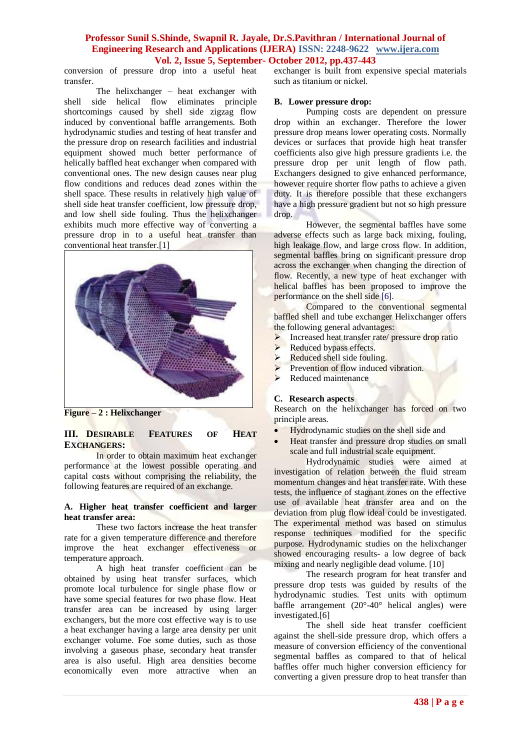conversion of pressure drop into a useful heat transfer.

The helixchanger – heat exchanger with shell side helical flow eliminates principle shortcomings caused by shell side zigzag flow induced by conventional baffle arrangements. Both hydrodynamic studies and testing of heat transfer and the pressure drop on research facilities and industrial equipment showed much better performance of helically baffled heat exchanger when compared with conventional ones. The new design causes near plug flow conditions and reduces dead zones within the shell space. These results in relatively high value of shell side heat transfer coefficient, low pressure drop, and low shell side fouling. Thus the helixchanger exhibits much more effective way of converting a pressure drop in to a useful heat transfer than conventional heat transfer.[1]



**Figure – 2 : Helixchanger**

## **III. DESIRABLE FEATURES OF HEAT EXCHANGERS:**

In order to obtain maximum heat exchanger performance at the lowest possible operating and capital costs without comprising the reliability, the following features are required of an exchange.

#### **A. Higher heat transfer coefficient and larger heat transfer area:**

These two factors increase the heat transfer rate for a given temperature difference and therefore improve the heat exchanger effectiveness or temperature approach.

A high heat transfer coefficient can be obtained by using heat transfer surfaces, which promote local turbulence for single phase flow or have some special features for two phase flow. Heat transfer area can be increased by using larger exchangers, but the more cost effective way is to use a heat exchanger having a large area density per unit exchanger volume. Foe some duties, such as those involving a gaseous phase, secondary heat transfer area is also useful. High area densities become economically even more attractive when an

exchanger is built from expensive special materials such as titanium or nickel.

#### **B. Lower pressure drop:**

Pumping costs are dependent on pressure drop within an exchanger. Therefore the lower pressure drop means lower operating costs. Normally devices or surfaces that provide high heat transfer coefficients also give high pressure gradients i.e. the pressure drop per unit length of flow path. Exchangers designed to give enhanced performance, however require shorter flow paths to achieve a given duty. It is therefore possible that these exchangers have a high pressure gradient but not so high pressure drop.

However, the segmental baffles have some adverse effects such as large back mixing, fouling, high leakage flow, and large cross flow. In addition, segmental baffles bring on significant pressure drop across the exchanger when changing the direction of flow. Recently, a new type of heat exchanger with helical baffles has been proposed to improve the performance on the shell side [6].

Compared to the conventional segmental baffled shell and tube exchanger Helixchanger offers the following general advantages:

- $\triangleright$  Increased heat transfer rate/ pressure drop ratio
- $\triangleright$  Reduced bypass effects.
- $\triangleright$  Reduced shell side fouling.
- $\triangleright$  Prevention of flow induced vibration.
- $\blacktriangleright$  Reduced maintenance

#### **C. Research aspects**

Research on the helixchanger has forced on two principle areas.

- Hydrodynamic studies on the shell side and
- Heat transfer and pressure drop studies on small scale and full industrial scale equipment.

Hydrodynamic studies were aimed at investigation of relation between the fluid stream momentum changes and heat transfer rate. With these tests, the influence of stagnant zones on the effective use of available heat transfer area and on the deviation from plug flow ideal could be investigated. The experimental method was based on stimulus response techniques modified for the specific purpose. Hydrodynamic studies on the helixchanger showed encouraging results- a low degree of back mixing and nearly negligible dead volume. [10]

The research program for heat transfer and pressure drop tests was guided by results of the hydrodynamic studies. Test units with optimum baffle arrangement (20°-40° helical angles) were investigated.[6]

The shell side heat transfer coefficient against the shell-side pressure drop, which offers a measure of conversion efficiency of the conventional segmental baffles as compared to that of helical baffles offer much higher conversion efficiency for converting a given pressure drop to heat transfer than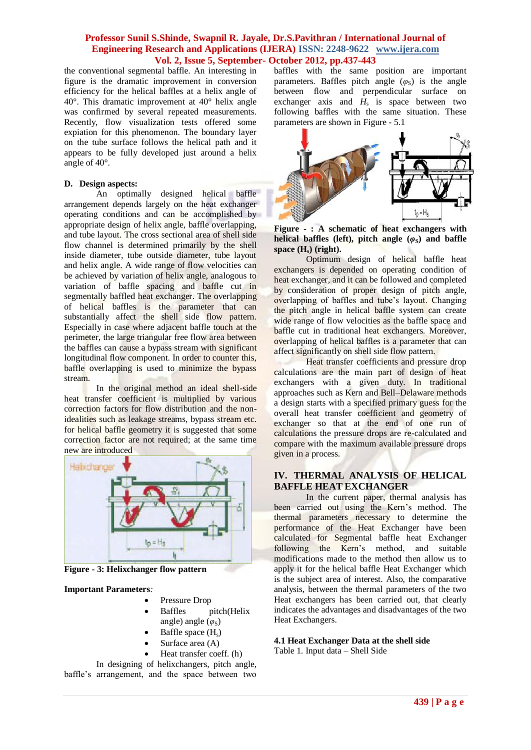the conventional segmental baffle. An interesting in figure is the dramatic improvement in conversion efficiency for the helical baffles at a helix angle of 40°. This dramatic improvement at 40° helix angle was confirmed by several repeated measurements. Recently, flow visualization tests offered some expiation for this phenomenon. The boundary layer on the tube surface follows the helical path and it appears to be fully developed just around a helix angle of 40°.

#### **D. Design aspects:**

An optimally designed helical baffle arrangement depends largely on the heat exchanger operating conditions and can be accomplished by appropriate design of helix angle, baffle overlapping, and tube layout. The cross sectional area of shell side flow channel is determined primarily by the shell inside diameter, tube outside diameter, tube layout and helix angle. A wide range of flow velocities can be achieved by variation of helix angle, analogous to variation of baffle spacing and baffle cut in segmentally baffled heat exchanger. The overlapping of helical baffles is the parameter that can substantially affect the shell side flow pattern. Especially in case where adjacent baffle touch at the perimeter, the large triangular free flow area between the baffles can cause a bypass stream with significant longitudinal flow component. In order to counter this, baffle overlapping is used to minimize the bypass stream.

In the original method an ideal shell-side heat transfer coefficient is multiplied by various correction factors for flow distribution and the nonidealities such as leakage streams, bypass stream etc. for helical baffle geometry it is suggested that some correction factor are not required; at the same time new are introduced



**Figure - 3: Helixchanger flow pattern**

#### **Important Parameters***:*

- Pressure Drop
- Baffles pitch(Helix angle) angle (*φ*<sub>S</sub>)
- Baffle space  $(H_s)$
- Surface area (A)
- Heat transfer coeff. (h)

In designing of helixchangers, pitch angle, baffle's arrangement, and the space between two

baffles with the same position are important parameters. Baffles pitch angle  $(\varphi_S)$  is the angle between flow and perpendicular surface on exchanger axis and  $H_s$  is space between two following baffles with the same situation. These parameters are shown in Figure - 5.1



**Figure - : A schematic of heat exchangers with helical baffles (left), pitch angle**  $(\varphi_s)$  **and baffle space (Hs) (right).** 

Optimum design of helical baffle heat exchangers is depended on operating condition of heat exchanger, and it can be followed and completed by consideration of proper design of pitch angle, overlapping of baffles and tube's layout. Changing the pitch angle in helical baffle system can create wide range of flow velocities as the baffle space and baffle cut in traditional heat exchangers. Moreover, overlapping of helical baffles is a parameter that can affect significantly on shell side flow pattern.

Heat transfer coefficients and pressure drop calculations are the main part of design of heat exchangers with a given duty. In traditional approaches such as Kern and Bell–Delaware methods a design starts with a specified primary guess for the overall heat transfer coefficient and geometry of exchanger so that at the end of one run of calculations the pressure drops are re-calculated and compare with the maximum available pressure drops given in a process.

#### **IV. THERMAL ANALYSIS OF HELICAL BAFFLE HEAT EXCHANGER**

In the current paper, thermal analysis has been carried out using the Kern's method. The thermal parameters necessary to determine the performance of the Heat Exchanger have been calculated for Segmental baffle heat Exchanger following the Kern"s method, and suitable modifications made to the method then allow us to apply it for the helical baffle Heat Exchanger which is the subject area of interest. Also, the comparative analysis, between the thermal parameters of the two Heat exchangers has been carried out, that clearly indicates the advantages and disadvantages of the two Heat Exchangers.

## **4.1 Heat Exchanger Data at the shell side**

Table 1. Input data – Shell Side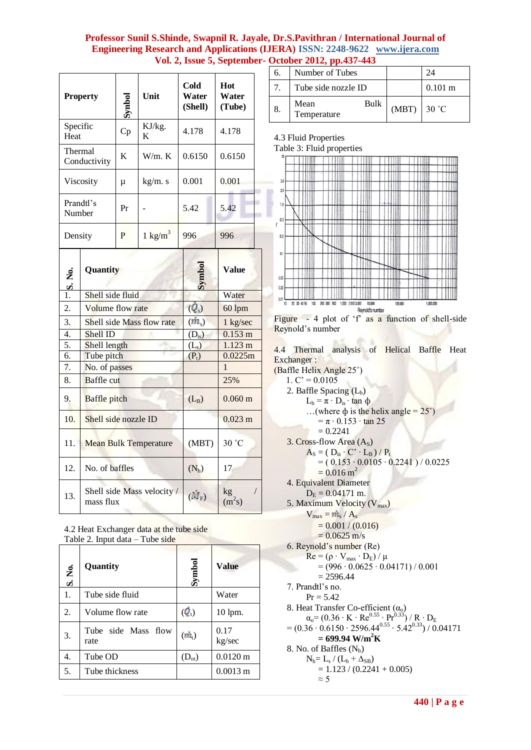×

| <b>Property</b>         | Synbol | Unit               | Cold<br>Water<br>(Shell) | Hot<br>Water<br>(Tube) |
|-------------------------|--------|--------------------|--------------------------|------------------------|
| Specific<br>Heat        | Cp     | KJ/kg.<br>K        | 4.178                    | 4.178                  |
| Thermal<br>Conductivity | K      | W/m. K             | 0.6150                   | 0.6150                 |
| <b>Viscosity</b>        | μ      | kg/m. s            | 0.001                    | 0.001                  |
| Prandtl's<br>Number     | Pr     |                    | 5.42                     | 5.42                   |
| Density                 | P      | $1 \text{ kg/m}^3$ | 996                      | 996                    |

| $\frac{1}{1}$ S. No. | Quantity                                | Symbol            | <b>Value</b>      |
|----------------------|-----------------------------------------|-------------------|-------------------|
|                      | Shell side fluid                        |                   | Water             |
| $\overline{2}$ .     | Volume flow rate                        | $(Q_s)$           | 60 lpm            |
| 3.                   | Shell side Mass flow rate               | $(m_{s})$         | 1 kg/sec          |
| $\overline{4}$ .     | Shell ID                                | $(D_{is})$        | $0.153 \text{ m}$ |
| 5.                   | Shell length                            | (L <sub>s</sub> ) | $1.123 \text{ m}$ |
| 6.                   | Tube pitch                              | $(P_t)$           | 0.0225m           |
| 7.                   | No. of passes                           |                   | 1                 |
| 8.                   | <b>Baffle</b> cut                       |                   | 25%               |
| 9.                   | <b>Baffle</b> pitch                     | $(L_B)$           | $0.060 \text{ m}$ |
| 10.                  | Shell side nozzle ID                    |                   | $0.023 \text{ m}$ |
| 11.                  | <b>Mean Bulk Temperature</b>            | (MBT)             | 30 °C             |
| 12.                  | No. of baffles                          | $(N_b)$           | 17                |
| 13.                  | Shell side Mass velocity /<br>mass flux | $(M_{\rm F})$     | kg<br>$(m^2s)$    |

| 4.2 Heat Exchanger data at the tube side |
|------------------------------------------|
| Table 2. Input $data - Tube side$        |
|                                          |

| S. No. | Quantity                    | Symbol        | <b>Value</b>          |
|--------|-----------------------------|---------------|-----------------------|
| 1.     | Tube side fluid             |               | Water                 |
| 2.     | Volume flow rate            | $\phi$        | 10 lpm.               |
| 3.     | Tube side Mass flow<br>rate | $(\dot{m}_t)$ | 0.17<br>kg/sec        |
| 4.     | Tube OD                     | $(D_{ot})$    | $0.0120 \,\mathrm{m}$ |
| 5.     | Tube thickness              |               | $0.0013 \text{ m}$    |
|        |                             |               |                       |

| 6. | Number of Tubes             |               |                   |
|----|-----------------------------|---------------|-------------------|
|    | Tube side nozzle ID         |               | $0.101 \text{ m}$ |
|    | Bulk<br>Mean<br>Temperature | $(MBT)$ 30 °C |                   |

4.3 Fluid Properties

Table 3: Fluid properties



Figure - 4 plot of 'f' as a function of shell-side Reynold"s number

4.4 Thermal analysis of Helical Baffle Heat Exchanger :

(Baffle Helix Angle 25˚) 1.  $C' = 0.0105$ 2. Baffle Spacing  $(L_b)$  $L_b = π · D_{is} · tan φ$ ...(where  $\phi$  is the helix angle = 25°)  $=\pi \cdot 0.153 \cdot \tan 25$  $= 0.2241$ 3. Cross-flow Area  $(A<sub>S</sub>)$  $A_S = (D_{is} \cdot C' \cdot L_B) / P_t$  $= (0.153 \cdot 0.0105 \cdot 0.2241) / 0.0225$  $= 0.016$  m<sup>2</sup> 4. Equivalent Diameter  $D_E = 0.04171$  m. 5. Maximum Velocity  $(V_{max})$  $V_{\text{max}} = \dot{m}_{\text{s}} / A_{\text{s}}$  $= 0.001 / (0.016)$  $= 0.0625$  m/s 6. Reynold"s number (Re)  $Re = (\rho \cdot V_{max} \cdot D_E) / \mu$  $= (996 \cdot 0.0625 \cdot 0.04171) / 0.001$  $= 2596.44$ 7. Prandtl"s no.  $Pr = 5.42$ 8. Heat Transfer Co-efficient  $(\alpha_0)$  $\alpha_{\rm o}$ = (0.36 ⋅ K ⋅ Re<sup>0.55</sup> ⋅ Pr<sup>0.33</sup>) / R ⋅ D<sub>E</sub>  $= (0.36 \cdot 0.6150 \cdot 2596.44^{0.55} \cdot 5.42^{0.33}) / 0.04171$  $= 699.94 \text{ W/m}^2\text{K}$ 8. No. of Baffles  $(N_b)$  $N_b = L_s / (L_b + \Delta_{SB})$  $= 1.123 / (0.2241 + 0.005)$  $\approx$  5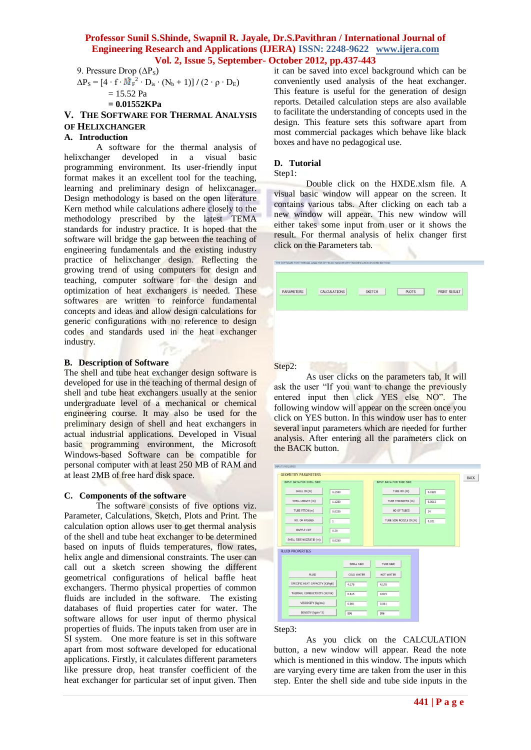9. Pressure Drop  $(\Delta P_S)$  $ΔP<sub>S</sub> = [4 ⋅ f ⋅ M̄<sub>F</sub><sup>2</sup> ⋅ D<sub>is</sub> ⋅ (N<sub>b</sub> + 1)] / (2 ⋅ ρ ⋅ D<sub>E</sub>)$  $= 15.52$  Pa

```
= 0.01552KPa
```
**V. THE SOFTWARE FOR THERMAL ANALYSIS OF HELIXCHANGER** 

## **A. Introduction**

A software for the thermal analysis of helixchanger developed in a visual basic programming environment. Its user-friendly input format makes it an excellent tool for the teaching, learning and preliminary design of helixcanager. Design methodology is based on the open literature Kern method while calculations adhere closely to the methodology prescribed by the latest TEMA standards for industry practice. It is hoped that the software will bridge the gap between the teaching of engineering fundamentals and the existing industry practice of helixchanger design. Reflecting the growing trend of using computers for design and teaching, computer software for the design and optimization of heat exchangers is needed. These softwares are written to reinforce fundamental concepts and ideas and allow design calculations for generic configurations with no reference to design codes and standards used in the heat exchanger industry.

#### **B. Description of Software**

The shell and tube heat exchanger design software is developed for use in the teaching of thermal design of shell and tube heat exchangers usually at the senior undergraduate level of a mechanical or chemical engineering course. It may also be used for the preliminary design of shell and heat exchangers in actual industrial applications. Developed in Visual basic programming environment, the Microsoft Windows-based Software can be compatible for personal computer with at least 250 MB of RAM and at least 2MB of free hard disk space.

#### **C. Components of the software**

The software consists of five options viz. Parameter, Calculations, Sketch, Plots and Print. The calculation option allows user to get thermal analysis of the shell and tube heat exchanger to be determined based on inputs of fluids temperatures, flow rates, helix angle and dimensional constraints. The user can call out a sketch screen showing the different geometrical configurations of helical baffle heat exchangers. Thermo physical properties of common fluids are included in the software. The existing databases of fluid properties cater for water. The software allows for user input of thermo physical properties of fluids. The inputs taken from user are in SI system. One more feature is set in this software apart from most software developed for educational applications. Firstly, it calculates different parameters like pressure drop, heat transfer coefficient of the heat exchanger for particular set of input given. Then

it can be saved into excel background which can be conveniently used analysis of the heat exchanger. This feature is useful for the generation of design reports. Detailed calculation steps are also available to facilitate the understanding of concepts used in the design. This feature sets this software apart from most commercial packages which behave like black boxes and have no pedagogical use.

#### **D. Tutorial**

#### Step1:

Step2:

Double click on the HXDE.xlsm file. A visual basic window will appear on the screen. It contains various tabs. After clicking on each tab a new window will appear. This new window will either takes some input from user or it shows the result. For thermal analysis of helix changer first click on the Parameters tab.

| PARAMETERS | CALCULATIONS | <b>SKETCH</b> | <b>PLOTS</b> | PRINT RESULT |
|------------|--------------|---------------|--------------|--------------|
|            |              |               |              |              |
|            |              |               |              |              |
|            |              |               |              |              |
|            |              |               |              |              |

As user clicks on the parameters tab, It will ask the user "If you want to change the previously entered input then click YES else NO". The following window will appear on the screen once you click on YES button. In this window user has to enter several input parameters which are needed for further analysis. After entering all the parameters click on the BACK button.

| 0.1530                                   | TUBE OD (m)             | 0.0120 |
|------------------------------------------|-------------------------|--------|
| 1.1230                                   | TUBE THICKNESS (m)      | 0.0013 |
| 0.0225                                   | NO OF TUBES             | 24     |
| $\,$ 1                                   | TUBE SIDE NOZZLE ID (m) | 0.101  |
| 0.20                                     |                         |        |
| 0.0230                                   |                         |        |
| SHELL SIDE                               | TUBE SIDE               |        |
| COLD WATER                               | HOT WATER               |        |
| SPECIFIC HEAT CAPACITY (KJ/kgK)<br>4.178 | 4.178                   |        |
|                                          |                         |        |
| THERMAL CONDUCTIVITY (W/mK)<br>0.615     | 0.615                   |        |
|                                          |                         |        |

#### Step3:

As you click on the CALCULATION button, a new window will appear. Read the note which is mentioned in this window. The inputs which are varying every time are taken from the user in this step. Enter the shell side and tube side inputs in the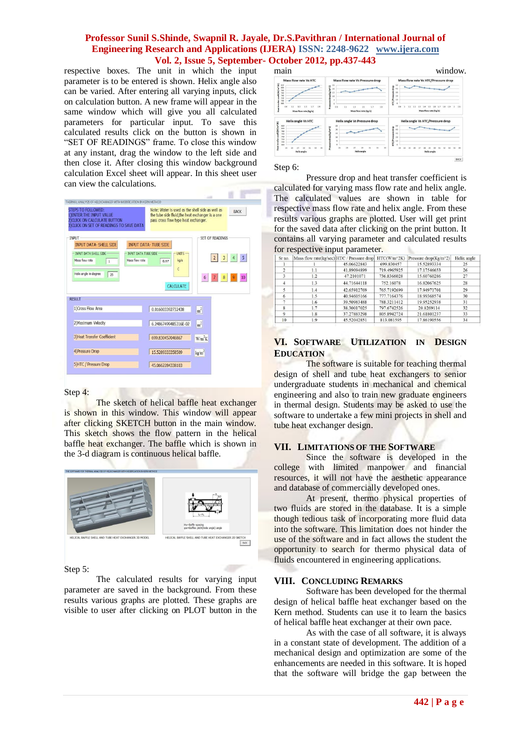respective boxes. The unit in which the input parameter is to be entered is shown. Helix angle also can be varied. After entering all varying inputs, click on calculation button. A new frame will appear in the same window which will give you all calculated parameters for particular input. To save this calculated results click on the button is shown in "SET OF READINGS" frame. To close this window at any instant, drag the window to the left side and then close it. After closing this window background calculation Excel sheet will appear. In this sheet user can view the calculations.

| <b>STEPS TO FOLLOWED:</b><br>1) ENTER THE INPUT VALUE<br>2) CLICK ON CALCULATE BUTTON<br><b>3) CLICK ON SET OF READINGS TO SAVE DATA</b>       | Note: Water is used as the shell side as well as<br><b>BACK</b><br>the tube side fluid, the heat exchanger is a one<br>pass cross flow type heat exchanger.                                                                                                            |
|------------------------------------------------------------------------------------------------------------------------------------------------|------------------------------------------------------------------------------------------------------------------------------------------------------------------------------------------------------------------------------------------------------------------------|
| <b>INPUT</b><br><b>INPUT DATA- SHELL SIDE</b><br><b>INPUT DATA SHELL SIDE</b><br>Mass flow rate<br>$\mathbf{1}$<br>Helix angle in degree<br>25 | SFT OF READINGS<br><b>INPUT DATA-TUBE SIDE</b><br><b>INPUT DATA TUBE SIDE</b><br><b>LINITS</b><br>5 <sup>5</sup><br>$\overline{3}$<br>$\overline{2}$<br>$\overline{4}$<br>Mass flow rate<br>kq/s<br>0.17<br>Ċ<br>10<br>$6\phantom{1}$<br>$\boldsymbol{8}$<br>CALCULATE |
| <b>RESULT</b><br>1) Cross Flow Area                                                                                                            | 0.016003392732438                                                                                                                                                                                                                                                      |
|                                                                                                                                                | m <sup>2</sup>                                                                                                                                                                                                                                                         |
| 2) Maximum Velocity                                                                                                                            | m <sup>2</sup><br>6.24867499485316E-02                                                                                                                                                                                                                                 |
| <b>3)Heat Transfer Coefficient</b>                                                                                                             | 699.830457046867<br>$W/m^2K$                                                                                                                                                                                                                                           |
| 4) Pressure Drop                                                                                                                               | 15.5289333358509<br>kg/m <sup>2</sup>                                                                                                                                                                                                                                  |
| 5)HTC / Pressure Drop                                                                                                                          | 45.0662284338103                                                                                                                                                                                                                                                       |

#### Step 4:

The sketch of helical baffle heat exchanger is shown in this window. This window will appear after clicking SKETCH button in the main window. This sketch shows the flow pattern in the helical baffle heat exchanger. The baffle which is shown in the 3-d diagram is continuous helical baffle.



Step 5:

The calculated results for varying input parameter are saved in the background. From these results various graphs are plotted. These graphs are visible to user after clicking on PLOT button in the main window. ass flow rate Vs HTC/Pressure drop Helix angle Vs HTC de Vs HTC/Pre

#### Step 6:

Pressure drop and heat transfer coefficient is calculated for varying mass flow rate and helix angle. The calculated values are shown in table for respective mass flow rate and helix angle. From these results various graphs are plotted. User will get print for the saved data after clicking on the print button. It contains all varying parameter and calculated results for respective input parameter.

| Sr no.             | Mass flow rate(kg/sec) HTC / Pressure drop |             | HTC(W/m^2K) | Pressure drop( $Kg/m^2$ ) | Helix angle |
|--------------------|--------------------------------------------|-------------|-------------|---------------------------|-------------|
|                    |                                            | 45.06622843 | 699.830457  | 15.52893334               | 25          |
|                    | 1.1                                        | 41.89094899 | 719.4965925 | 17.17546653               | 26          |
|                    | 1.2                                        | 47.2101071  | 736.8366028 | 15.60760286               | 27          |
|                    | 1.3                                        | 44.71644118 | 752.16078   | 16.82067625               | 28          |
|                    | 1.4                                        | 42.65912769 | 765.7192699 | 17.94971701               | 29          |
| 6                  | 1.5                                        | 40.94605166 | 777.7164376 | 18.99368574               | 30          |
|                    | 1.6                                        | 39.50983488 | 788.3211412 | 19.95252938               | 31          |
| $\mathbf{\hat{x}}$ | 1.7                                        | 38.30017025 | 797.6742526 | 20.8269114                | 32          |
| 9                  | 1.8                                        | 37.27883298 | 805.8942724 | 21.61801237               | 33          |
| 10                 | 1.9                                        | 45.52042851 | 813.081595  | 17.86190556               | 34          |

#### **VI. SOFTWARE UTILIZATION IN DESIGN EDUCATION**

The software is suitable for teaching thermal design of shell and tube heat exchangers to senior undergraduate students in mechanical and chemical engineering and also to train new graduate engineers in thermal design. Students may be asked to use the software to undertake a few mini projects in shell and tube heat exchanger design.

#### **VII. LIMITATIONS OF THE SOFTWARE**

Since the software is developed in the college with limited manpower and financial resources, it will not have the aesthetic appearance and database of commercially developed ones.

At present, thermo physical properties of two fluids are stored in the database. It is a simple though tedious task of incorporating more fluid data into the software. This limitation does not hinder the use of the software and in fact allows the student the opportunity to search for thermo physical data of fluids encountered in engineering applications.

#### **VIII. CONCLUDING REMARKS**

Software has been developed for the thermal design of helical baffle heat exchanger based on the Kern method. Students can use it to learn the basics of helical baffle heat exchanger at their own pace.

As with the case of all software, it is always in a constant state of development. The addition of a mechanical design and optimization are some of the enhancements are needed in this software. It is hoped that the software will bridge the gap between the